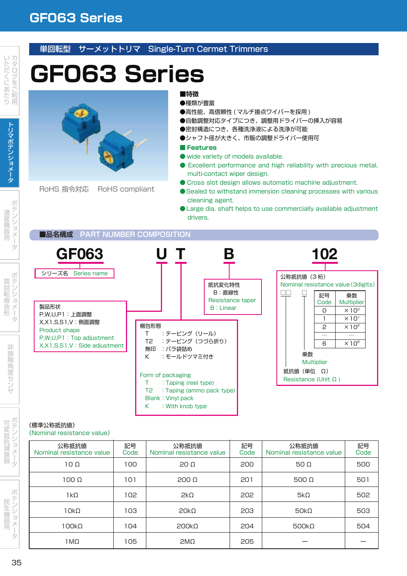## **GF063 Series**

## 単回転型 サーメットトリマ Single-Turn Cermet Trimmers

# **GF063 Series**



RoHS 指令対応 RoHS compliant

## **■特徴**

- ●種類が豊富
- ●高性能、高信頼性 ( マルチ接点ワイパーを採用)
- ●自動調整対応タイプにつき、調整用ドライバーの挿入が容易
- ●密封構造につき、各種洗浄液による洗浄が可能
- ●シャフト径が大きく、市販の調整ドライパー使用可
- **Features**
- wide variety of models available.
- Excellent performance and high reliability with precious metal, multi-contact wiper design.
- Cross slot design allows automatic machine adjustment.
- Sealed to withstand immersion cleaning processes with various cleaning agent.
- ●Large dia. shaft helps to use commercially available adjustment drivers.

### **■品名構成 PART NUMBER COMPOSITION ■品名構成 PART NUMBER COMPOSITION**

| <b>GF063</b>                                                                                                    |                                                                                                     |                                                          | 102                                                                                                                       |
|-----------------------------------------------------------------------------------------------------------------|-----------------------------------------------------------------------------------------------------|----------------------------------------------------------|---------------------------------------------------------------------------------------------------------------------------|
| シリーズ名<br>Series name<br>製品形状<br>P.W.U.P1:上面調整                                                                   |                                                                                                     | 抵抗変化特性<br>B:直線性<br>Resistance taper<br><b>B</b> : Linear | 公称抵抗值 (3桁)<br>Nominal resistance value (3 digits)<br>記号<br>乗数<br><b>Multiplier</b><br>Code<br>$\times 10^{\circ}$<br>O    |
| X, X 1, S, S 1, V: 側面調整<br>Product shape<br>P, W, U, P1 : Top adjustment<br>X, X 1, S, S 1, V : Side adjustment | 梱包形態<br>:テーピング(リール)<br>:テーピング(つづら折り)<br>T <sub>2</sub><br>無印<br>:バラ袋詰め<br>:モールドツマミ付き<br>K.          |                                                          | $\times 10^{1}$<br>2<br>$\times$ 10 <sup>2</sup><br>$\cdots$<br>$\cdots$<br>$\times 10^6$<br>6<br>乗数<br><b>Multiplier</b> |
|                                                                                                                 | Form of packaging<br>: Taping (reel type)<br>Т.<br>T2<br>Blank: Vinyl pack<br>: With knob type<br>К | : Taping (ammo pack type)                                | 抵抗値 (単位 Ω)<br>Resistance (Unit $\Omega$ )                                                                                 |

#### 《標準公称抵抗値》 《Nominal resistance value》

| 公称抵抗值<br>Nominal resistance value | 記号<br>Code | 公称抵抗值<br>Nominal resistance value | 記号<br>Code | 公称抵抗值<br>Nominal resistance value | 記号<br>Code |
|-----------------------------------|------------|-----------------------------------|------------|-----------------------------------|------------|
| $10\Omega$                        | 100        | $20 \Omega$                       | 200        | 50 $\Omega$                       | 500        |
| 100 Ω                             | 101        | $200 \Omega$                      | 201        | 500 $\Omega$                      | 501        |
| 1kΩ                               | 102        | $2k\Omega$                        | 202        | $5k\Omega$                        | 502        |
| $10k\Omega$                       | 103        | 20k <sub>0</sub>                  | 203        | 50k <sub>0</sub>                  | 503        |
| $100k\Omega$                      | 104        | $200k\Omega$                      | 204        | $500k\Omega$                      | 504        |
| 1MΩ                               | 105        | 2M <sub>Ω</sub>                   | 205        |                                   |            |

- - - -

機 用

高

寿 命

> 非 触 角 **The Contract of the Contract of the Contract of the Contract of the Contract of the Contract of the Contract of The Contract of The Contract of The Contract of The Contract of The Contract of The Contract of The Contract**

> > ポ テ

**一**一一一一一  $\sim$ 抗 減

> メ **Contract Contract Contract Contract Contract Contract Contract Contract Contract Contract Contract Contract Contract Contract Contract Contract Contract Contract Contract Contract Contract Contract Contract Contract Contr**

> *CONTRACTOR* テ

- - - -**And Construction** and the second second 用

**STATE AND RESIDENTS**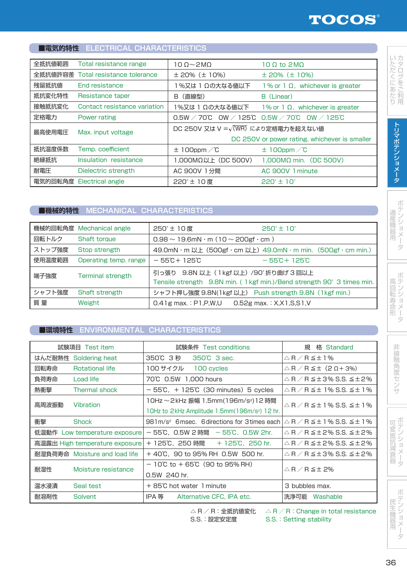## **■電気的特性 ELECTRICAL CHARACTERISTICS**

| 全抵抗値範囲  | Total resistance range       | $100 - 200$                                       | 10.0 to 2MO                                             |  |
|---------|------------------------------|---------------------------------------------------|---------------------------------------------------------|--|
| 全抵抗値許容差 | Total resistance tolerance   | $\pm$ 20% ( $\pm$ 10%)                            | $\pm$ 20% ( $\pm$ 10%)                                  |  |
| 残留抵抗値   | End resistance               | %又は 1 Ωの大なる値以下                                    | 1% or 1 $\Omega$ , whichever is greater                 |  |
| 抵抗変化特性  | Resistance taper             | (直線型)<br>В                                        | B (Linear)                                              |  |
| 接触抵抗変化  | Contact resistance variation | 1%又は 1 Ωの大なる値以下                                   | 1% or 1 $\Omega$ , whichever is greater                 |  |
| 定格電力    | Power rating                 |                                                   | $0.5W / 70^{\circ}$ C OW / 125°C 0.5W / 70°C OW / 125°C |  |
| 最高使用電圧  | Max. input voltage           | DC 250V 又は V = $\sqrt{\text{(WR)}}$ により定格電力を超えない値 |                                                         |  |
|         |                              | DC 250V or power rating, whichever is smaller     |                                                         |  |
| 抵抗温度係数  | Temp. coefficient            | $\pm$ 100ppm $\angle$ °C                          | $\pm$ 100ppm $\angle$ °C                                |  |
| 絶縁抵抗    | Insulation resistance        | 1.000ΜΩ以上 (DC 500V)                               | $1,000M\Omega$ min. (DC 500V)                           |  |
| 耐電圧     | Dielectric strength          | AC 900V 1分間                                       | AC 900V 1 minute                                        |  |
|         | 電気的回転角度 Electrical angle     | 220°±10度                                          | 220°± 10°                                               |  |

### **■機械的特性 MECHANICAL CHARACTERISTICS**

|        | 機械的回転角度 Mechanical angle | 250°±10度<br>$250^{\circ}$ ± 10 $^{\circ}$                                                                    |  |
|--------|--------------------------|--------------------------------------------------------------------------------------------------------------|--|
| 回転トルク  | Shaft torque             | $0.98 \sim 19.6$ mN · m (10 ~ 200gf · cm)                                                                    |  |
| ストップ強度 | Stop strength            | 49.0mN · m 以上 (500gf · cm 以上) 49.0mN · m min. (500gf · cm min.)                                              |  |
| 使用温度範囲 | Operating temp. range    | $-55^{\circ}\text{C} + 125^{\circ}\text{C}$<br>$-55C + 125C$                                                 |  |
| 端子強度   | <b>Terminal strength</b> | 引っ張り 9.8N 以上 (1kgf 以上) /90°折り曲げ3回以上<br>Tensile strength 9.8N min. (1 kgf min.)/Bend strength 90°3 times min. |  |
| シャフト強度 | Shaft strength           | シャフト押し強度 9.8N(1kgf 以上) Push strength 9.8N (1kgf min.)                                                        |  |
| 質量     | Weight                   | $0.41$ g max.: P1, P, W, U 0.52g max.: X, X1, S, S1, V                                                       |  |

## **■環境特性 ENVIRONMENTAL CHARACTERISTICS**

| 試験項目                                                               | 試験条件 Test conditions<br>Test item |                                                           | 格 Standard<br>規                                                 |
|--------------------------------------------------------------------|-----------------------------------|-----------------------------------------------------------|-----------------------------------------------------------------|
| はんだ耐熱性                                                             | Soldering heat                    | 350℃ 3秒<br>350°C 3 sec.                                   | $\triangle$ R $\angle$ R $\leq$ $\pm$ 1 %                       |
| 回転寿命                                                               | <b>Rotational life</b>            | 100 サイクル<br>100 cycles                                    | $\triangle$ R $\angle$ R $\leq$ $\pm$ (2 Q + 3%)                |
| 負荷寿命                                                               | Load life                         | 70°C 0.5W 1.000 hours                                     | △R/R≦±3% S.S. ≦±2%                                              |
| 熱衝撃                                                                | Thermal shock                     | $-55^{\circ}$ C, + 125 $^{\circ}$ C (30 minutes) 5 cycles | $\triangle$ R $\angle$ R $\leq$ $\pm$ 1% S.S. $\leq$ $\pm$ 1%   |
| 高周波振動                                                              | Vibration                         | 10Hz~2kHz 振幅 1.5mm(196m/sª)12 時間                          | △ R / R ≦± 1 % S.S. ≦± 1 %                                      |
|                                                                    |                                   | 10Hz to 2kHz Amplitude 1.5mm(196m/s <sup>2</sup> ) 12 hr. |                                                                 |
| 衝撃                                                                 | Shock                             | 981m/s <sup>2</sup> 6msec. 6 directions for 3 times each  | $\triangle$ R $\angle$ R $\leq$ $\pm$ 1 % S.S. $\leq$ $\pm$ 1 % |
| — 55℃,0.5W 2 時間 — 55℃,0.5W 2hr.<br>低温動作 Low temperature exposure   |                                   | $\triangle$ R $\angle$ R $\leq$ ± 2% S.S. $\leq$ ± 2%     |                                                                 |
| + 125°C, 250 時間 + 125°C, 250 hr.<br>高温露出 High temperature exposure |                                   | $\triangle$ R $\angle$ R $\leq$ ± 2% S.S. $\leq$ ± 2%     |                                                                 |
|                                                                    | 耐湿負荷寿命 Moisture and load life     | $+40^{\circ}$ C, 90 to 95% RH 0.5W 500 hr.                | △R/R≦±3% S.S. ≦±2%                                              |
| 耐湿性                                                                | Moisture resistance               | $-10^{\circ}$ C to + 65 $^{\circ}$ C (90 to 95% RH)       | $\triangle$ R $\angle$ R $\leq$ $\pm$ 2%                        |
|                                                                    |                                   | 0.5W 240 hr.                                              |                                                                 |
| 温水浸漬                                                               | Seal test                         | + 85°C hot water 1 minute                                 | 3 bubbles max.                                                  |
| 耐溶剤性                                                               | Solvent                           | IPA 等<br>Alternative CFC, IPA etc.                        | 洗浄可能<br>Washable                                                |

 $\triangle$  R / R : 全抵抗値変化  $\angle$   $\triangle$  R / R : Change in total resistance S.S.:設定安定度 S.S.:Setting stability

用

り

**Contract Contract Contract Contract Contract Contract Contract Contract Contract Contract Contract Contract Contract Contract Contract Contract Contract Contract Contract Contract Contract Contract Contract Contract Contr** 

- - - -

**Contract Contract Contract Contract Contract** 

**Contract Contract Contract Contract Contract** 

*CONTRACTOR* テ

民

用

**STATE AND RESIDENTS** 

. . . .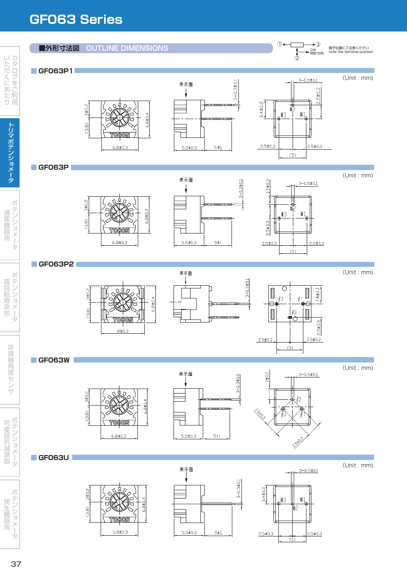## **GF063 Series GF063 Series**

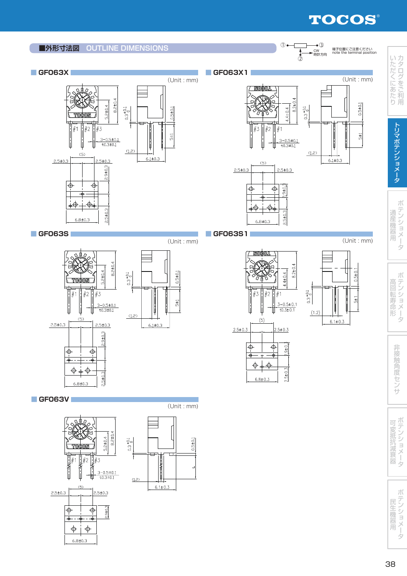## TOCOS®



 $6.8 \pm 0.3$ 

用 用

器

マンティー ー **Contract Contract Contract Contract Contract Contract Contract Contract Contract Contract Contract Contract Contract Contract Contract Contract Contract Contract Contract Contract Contract Contract Contract Contract Contr**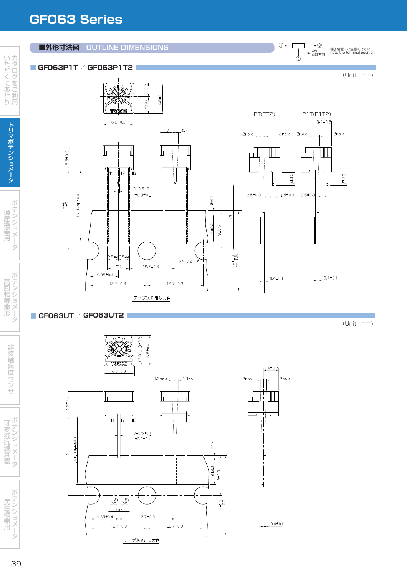## **GF063 Series GF063 Series**



 $18^{+1.0}_{-0.5}$ 

 $0.4 \pm 0.1$ 

ż

民生機器用<br>ポテンショメー4

 $\begin{array}{c|c}\n & +0.3 & \pm 0.3 \\
& 2.5 & 2.5\n\end{array}$ 

 $(5)$ 

 $12.7 \pm 0.3$ 

 $12.7 + 0.3$ 

テープ送り出し方向

 $12.7 \pm 0.3$ 

 $6.35 \pm 0.4$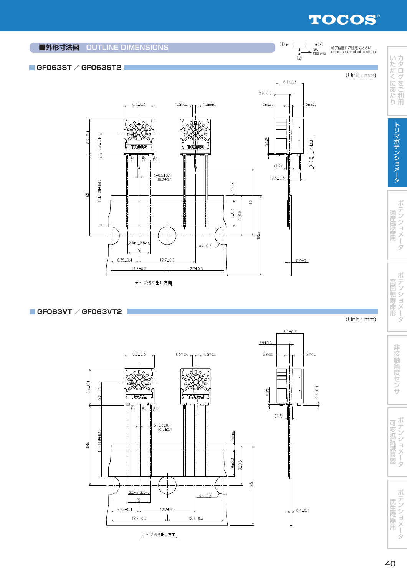## TOCOS®

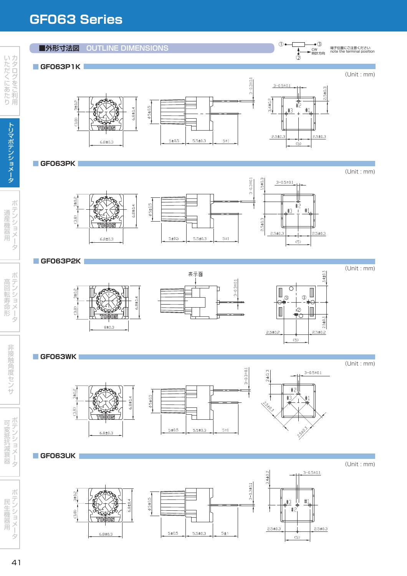## **GF063 Series**

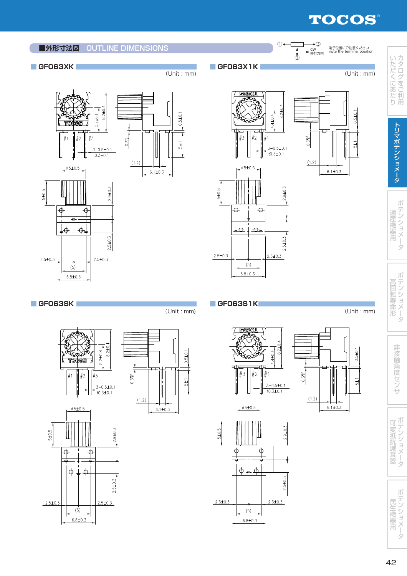## TOCOS®



**Contract Contract Contract Contract Contract Contract Contract Contract Contract Contract Contract Contract Contract Contract Contract Contract Contract Contract Contract Contract Contract Contract Contract Contract Contr**